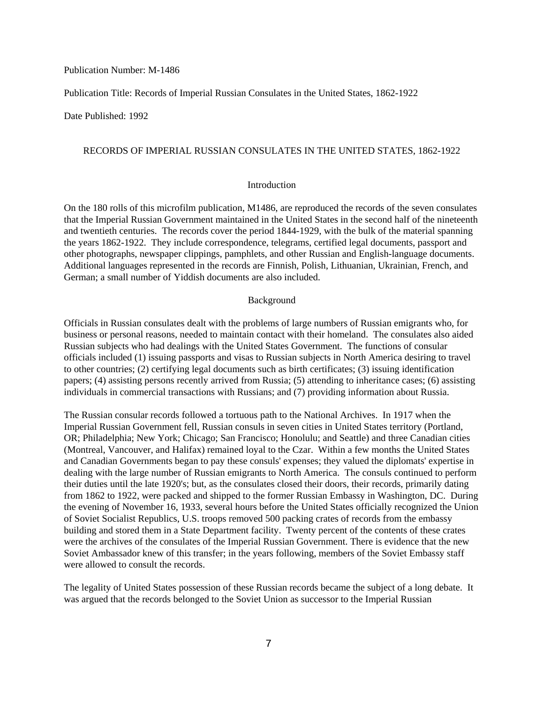### Publication Number: M-1486

Publication Title: Records of Imperial Russian Consulates in the United States, 1862-1922

Date Published: 1992

#### RECORDS OF IMPERIAL RUSSIAN CONSULATES IN THE UNITED STATES, 1862-1922

## Introduction

On the 180 rolls of this microfilm publication, M1486, are reproduced the records of the seven consulates that the Imperial Russian Government maintained in the United States in the second half of the nineteenth and twentieth centuries. The records cover the period 1844-1929, with the bulk of the material spanning the years 1862-1922. They include correspondence, telegrams, certified legal documents, passport and other photographs, newspaper clippings, pamphlets, and other Russian and English-language documents. Additional languages represented in the records are Finnish, Polish, Lithuanian, Ukrainian, French, and German; a small number of Yiddish documents are also included.

## Background

Officials in Russian consulates dealt with the problems of large numbers of Russian emigrants who, for business or personal reasons, needed to maintain contact with their homeland. The consulates also aided Russian subjects who had dealings with the United States Government. The functions of consular officials included (1) issuing passports and visas to Russian subjects in North America desiring to travel to other countries; (2) certifying legal documents such as birth certificates; (3) issuing identification papers; (4) assisting persons recently arrived from Russia; (5) attending to inheritance cases; (6) assisting individuals in commercial transactions with Russians; and (7) providing information about Russia.

The Russian consular records followed a tortuous path to the National Archives. In 1917 when the Imperial Russian Government fell, Russian consuls in seven cities in United States territory (Portland, OR; Philadelphia; New York; Chicago; San Francisco; Honolulu; and Seattle) and three Canadian cities (Montreal, Vancouver, and Halifax) remained loyal to the Czar. Within a few months the United States and Canadian Governments began to pay these consuls' expenses; they valued the diplomats' expertise in dealing with the large number of Russian emigrants to North America. The consuls continued to perform their duties until the late 1920's; but, as the consulates closed their doors, their records, primarily dating from 1862 to 1922, were packed and shipped to the former Russian Embassy in Washington, DC. During the evening of November 16, 1933, several hours before the United States officially recognized the Union of Soviet Socialist Republics, U.S. troops removed 500 packing crates of records from the embassy building and stored them in a State Department facility. Twenty percent of the contents of these crates were the archives of the consulates of the Imperial Russian Government. There is evidence that the new Soviet Ambassador knew of this transfer; in the years following, members of the Soviet Embassy staff were allowed to consult the records.

The legality of United States possession of these Russian records became the subject of a long debate. It was argued that the records belonged to the Soviet Union as successor to the Imperial Russian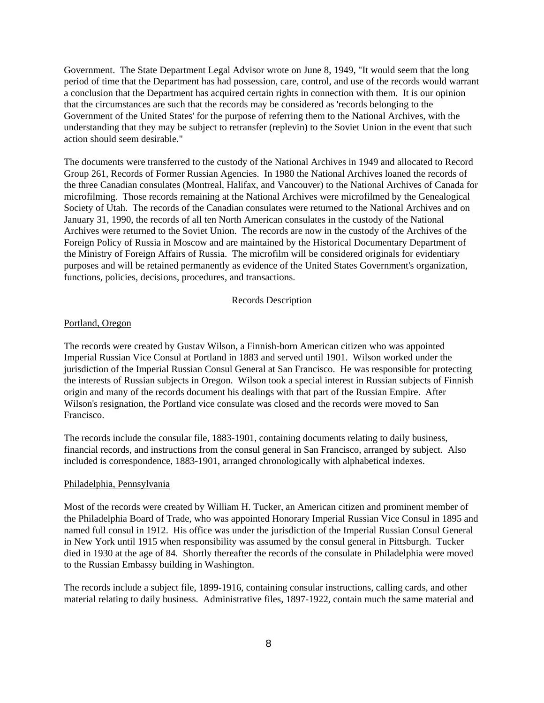Government. The State Department Legal Advisor wrote on June 8, 1949, "It would seem that the long period of time that the Department has had possession, care, control, and use of the records would warrant a conclusion that the Department has acquired certain rights in connection with them. It is our opinion that the circumstances are such that the records may be considered as 'records belonging to the Government of the United States' for the purpose of referring them to the National Archives, with the understanding that they may be subject to retransfer (replevin) to the Soviet Union in the event that such action should seem desirable."

The documents were transferred to the custody of the National Archives in 1949 and allocated to Record Group 261, Records of Former Russian Agencies. In 1980 the National Archives loaned the records of the three Canadian consulates (Montreal, Halifax, and Vancouver) to the National Archives of Canada for microfilming. Those records remaining at the National Archives were microfilmed by the Genealogical Society of Utah. The records of the Canadian consulates were returned to the National Archives and on January 31, 1990, the records of all ten North American consulates in the custody of the National Archives were returned to the Soviet Union. The records are now in the custody of the Archives of the Foreign Policy of Russia in Moscow and are maintained by the Historical Documentary Department of the Ministry of Foreign Affairs of Russia. The microfilm will be considered originals for evidentiary purposes and will be retained permanently as evidence of the United States Government's organization, functions, policies, decisions, procedures, and transactions.

#### Records Description

#### Portland, Oregon

The records were created by Gustav Wilson, a Finnish-born American citizen who was appointed Imperial Russian Vice Consul at Portland in 1883 and served until 1901. Wilson worked under the jurisdiction of the Imperial Russian Consul General at San Francisco. He was responsible for protecting the interests of Russian subjects in Oregon. Wilson took a special interest in Russian subjects of Finnish origin and many of the records document his dealings with that part of the Russian Empire. After Wilson's resignation, the Portland vice consulate was closed and the records were moved to San Francisco.

The records include the consular file, 1883-1901, containing documents relating to daily business, financial records, and instructions from the consul general in San Francisco, arranged by subject. Also included is correspondence, 1883-1901, arranged chronologically with alphabetical indexes.

## Philadelphia, Pennsylvania

Most of the records were created by William H. Tucker, an American citizen and prominent member of the Philadelphia Board of Trade, who was appointed Honorary Imperial Russian Vice Consul in 1895 and named full consul in 1912. His office was under the jurisdiction of the Imperial Russian Consul General in New York until 1915 when responsibility was assumed by the consul general in Pittsburgh. Tucker died in 1930 at the age of 84. Shortly thereafter the records of the consulate in Philadelphia were moved to the Russian Embassy building in Washington.

The records include a subject file, 1899-1916, containing consular instructions, calling cards, and other material relating to daily business. Administrative files, 1897-1922, contain much the same material and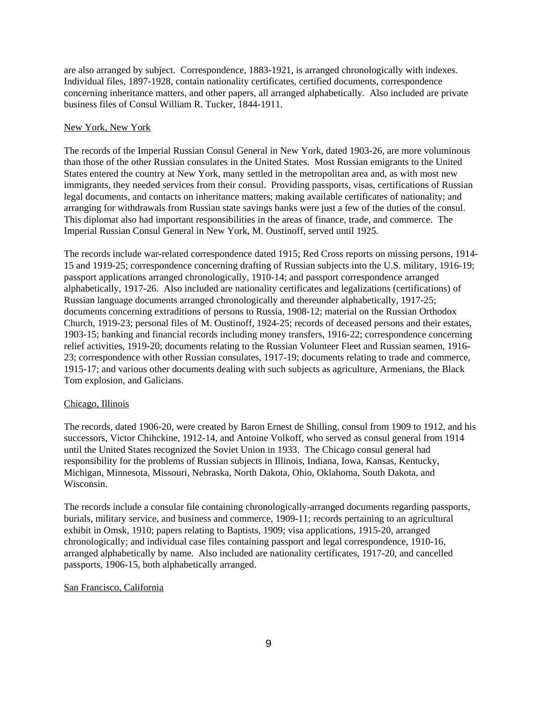are also arranged by subject. Correspondence, 1883-1921, is arranged chronologically with indexes. Individual files, 1897-1928, contain nationality certificates, certified documents, correspondence concerning inheritance matters, and other papers, all arranged alphabetically. Also included are private business files of Consul William R. Tucker, 1844-1911.

#### New York, New York

The records of the Imperial Russian Consul General in New York, dated 1903-26, are more voluminous than those of the other Russian consulates in the United States. Most Russian emigrants to the United States entered the country at New York, many settled in the metropolitan area and, as with most new immigrants, they needed services from their consul. Providing passports, visas, certifications of Russian legal documents, and contacts on inheritance matters; making available certificates of nationality; and arranging for withdrawals from Russian state savings banks were just a few of the duties of the consul. This diplomat also had important responsibilities in the areas of finance, trade, and commerce. The Imperial Russian Consul General in New York, M. Oustinoff, served until 1925.

The records include war-related correspondence dated 1915; Red Cross reports on missing persons, 1914- 15 and 1919-25; correspondence concerning drafting of Russian subjects into the U.S. military, 1916-19; passport applications arranged chronologically, 1910-14; and passport correspondence arranged alphabetically, 1917-26. Also included are nationality certificates and legalizations (certifications) of Russian language documents arranged chronologically and thereunder alphabetically, 1917-25; documents concerning extraditions of persons to Russia, 1908-12; material on the Russian Orthodox Church, 1919-23; personal files of M. Oustinoff, 1924-25; records of deceased persons and their estates, 1903-15; banking and financial records including money transfers, 1916-22; correspondence concerning relief activities, 1919-20; documents relating to the Russian Volunteer Fleet and Russian seamen, 1916- 23; correspondence with other Russian consulates, 1917-19; documents relating to trade and commerce, 1915-17; and various other documents dealing with such subjects as agriculture, Armenians, the Black Tom explosion, and Galicians.

## Chicago, Illinois

The records, dated 1906-20, were created by Baron Ernest de Shilling, consul from 1909 to 1912, and his successors, Victor Chihckine, 1912-14, and Antoine Volkoff, who served as consul general from 1914 until the United States recognized the Soviet Union in 1933. The Chicago consul general had responsibility for the problems of Russian subjects in Illinois, Indiana, Iowa, Kansas, Kentucky, Michigan, Minnesota, Missouri, Nebraska, North Dakota, Ohio, Oklahoma, South Dakota, and Wisconsin.

The records include a consular file containing chronologically-arranged documents regarding passports, burials, military service, and business and commerce, 1909-11; records pertaining to an agricultural exhibit in Omsk, 1910; papers relating to Baptists, 1909; visa applications, 1915-20, arranged chronologically; and individual case files containing passport and legal correspondence, 1910-16, arranged alphabetically by name. Also included are nationality certificates, 1917-20, and cancelled passports, 1906-15, both alphabetically arranged.

#### San Francisco, California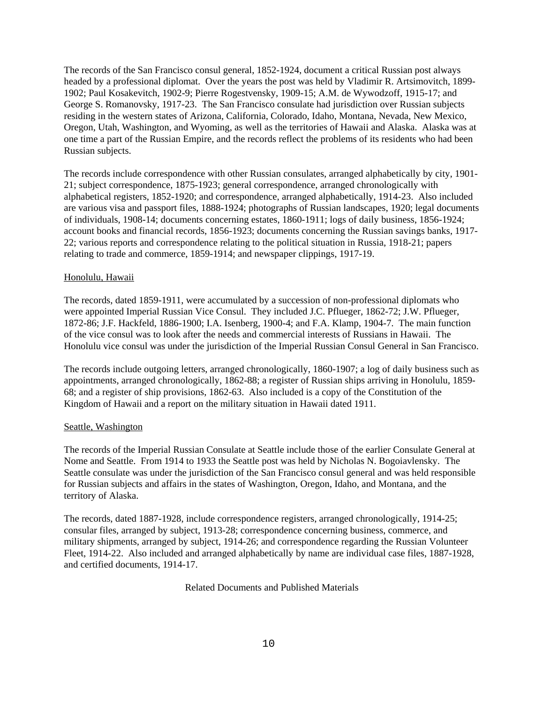The records of the San Francisco consul general, 1852-1924, document a critical Russian post always headed by a professional diplomat. Over the years the post was held by Vladimir R. Artsimovitch, 1899- 1902; Paul Kosakevitch, 1902-9; Pierre Rogestvensky, 1909-15; A.M. de Wywodzoff, 1915-17; and George S. Romanovsky, 1917-23. The San Francisco consulate had jurisdiction over Russian subjects residing in the western states of Arizona, California, Colorado, Idaho, Montana, Nevada, New Mexico, Oregon, Utah, Washington, and Wyoming, as well as the territories of Hawaii and Alaska. Alaska was at one time a part of the Russian Empire, and the records reflect the problems of its residents who had been Russian subjects.

The records include correspondence with other Russian consulates, arranged alphabetically by city, 1901- 21; subject correspondence, 1875-1923; general correspondence, arranged chronologically with alphabetical registers, 1852-1920; and correspondence, arranged alphabetically, 1914-23. Also included are various visa and passport files, 1888-1924; photographs of Russian landscapes, 1920; legal documents of individuals, 1908-14; documents concerning estates, 1860-1911; logs of daily business, 1856-1924; account books and financial records, 1856-1923; documents concerning the Russian savings banks, 1917- 22; various reports and correspondence relating to the political situation in Russia, 1918-21; papers relating to trade and commerce, 1859-1914; and newspaper clippings, 1917-19.

## Honolulu, Hawaii

The records, dated 1859-1911, were accumulated by a succession of non-professional diplomats who were appointed Imperial Russian Vice Consul. They included J.C. Pflueger, 1862-72; J.W. Pflueger, 1872-86; J.F. Hackfeld, 1886-1900; I.A. Isenberg, 1900-4; and F.A. Klamp, 1904-7. The main function of the vice consul was to look after the needs and commercial interests of Russians in Hawaii. The Honolulu vice consul was under the jurisdiction of the Imperial Russian Consul General in San Francisco.

The records include outgoing letters, arranged chronologically, 1860-1907; a log of daily business such as appointments, arranged chronologically, 1862-88; a register of Russian ships arriving in Honolulu, 1859- 68; and a register of ship provisions, 1862-63. Also included is a copy of the Constitution of the Kingdom of Hawaii and a report on the military situation in Hawaii dated 1911.

## Seattle, Washington

The records of the Imperial Russian Consulate at Seattle include those of the earlier Consulate General at Nome and Seattle. From 1914 to 1933 the Seattle post was held by Nicholas N. Bogoiavlensky. The Seattle consulate was under the jurisdiction of the San Francisco consul general and was held responsible for Russian subjects and affairs in the states of Washington, Oregon, Idaho, and Montana, and the territory of Alaska.

The records, dated 1887-1928, include correspondence registers, arranged chronologically, 1914-25; consular files, arranged by subject, 1913-28; correspondence concerning business, commerce, and military shipments, arranged by subject, 1914-26; and correspondence regarding the Russian Volunteer Fleet, 1914-22. Also included and arranged alphabetically by name are individual case files, 1887-1928, and certified documents, 1914-17.

Related Documents and Published Materials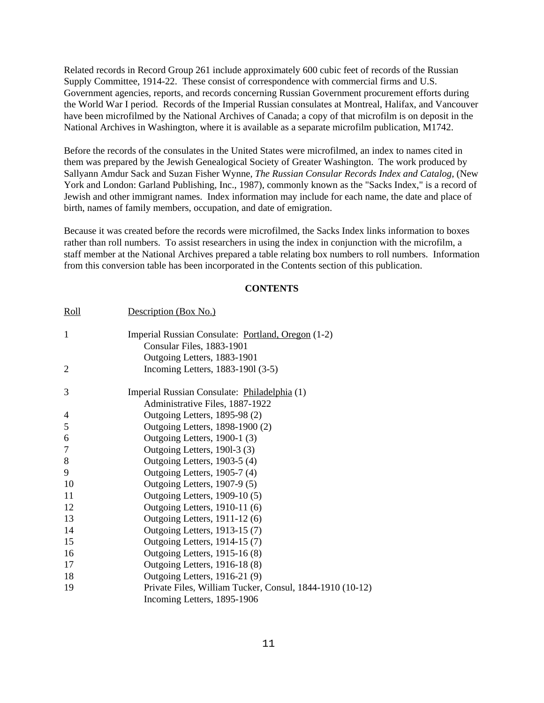Related records in Record Group 261 include approximately 600 cubic feet of records of the Russian Supply Committee, 1914-22. These consist of correspondence with commercial firms and U.S. Government agencies, reports, and records concerning Russian Government procurement efforts during the World War I period. Records of the Imperial Russian consulates at Montreal, Halifax, and Vancouver have been microfilmed by the National Archives of Canada; a copy of that microfilm is on deposit in the National Archives in Washington, where it is available as a separate microfilm publication, M1742.

Before the records of the consulates in the United States were microfilmed, an index to names cited in them was prepared by the Jewish Genealogical Society of Greater Washington. The work produced by Sallyann Amdur Sack and Suzan Fisher Wynne, *The Russian Consular Records Index and Catalog*, (New York and London: Garland Publishing, Inc., 1987), commonly known as the "Sacks Index," is a record of Jewish and other immigrant names. Index information may include for each name, the date and place of birth, names of family members, occupation, and date of emigration.

Because it was created before the records were microfilmed, the Sacks Index links information to boxes rather than roll numbers. To assist researchers in using the index in conjunction with the microfilm, a staff member at the National Archives prepared a table relating box numbers to roll numbers. Information from this conversion table has been incorporated in the Contents section of this publication.

# **CONTENTS**

| <u>Roll</u>      | Description (Box No.)                                    |
|------------------|----------------------------------------------------------|
| $\mathbf{1}$     | Imperial Russian Consulate: Portland, Oregon (1-2)       |
|                  | Consular Files, 1883-1901                                |
|                  | Outgoing Letters, 1883-1901                              |
| $\overline{2}$   | Incoming Letters, 1883-1901 (3-5)                        |
| 3                | Imperial Russian Consulate: Philadelphia (1)             |
|                  | Administrative Files, 1887-1922                          |
| 4                | Outgoing Letters, 1895-98 (2)                            |
| 5                | Outgoing Letters, 1898-1900 (2)                          |
| 6                | Outgoing Letters, 1900-1 (3)                             |
| $\boldsymbol{7}$ | Outgoing Letters, 1901-3 (3)                             |
| $8\,$            | Outgoing Letters, 1903-5 (4)                             |
| 9                | Outgoing Letters, 1905-7 (4)                             |
| 10               | Outgoing Letters, 1907-9 (5)                             |
| 11               | Outgoing Letters, 1909-10 (5)                            |
| 12               | Outgoing Letters, 1910-11 (6)                            |
| 13               | Outgoing Letters, 1911-12 (6)                            |
| 14               | Outgoing Letters, 1913-15 (7)                            |
| 15               | Outgoing Letters, 1914-15 (7)                            |
| 16               | Outgoing Letters, 1915-16 (8)                            |
| 17               | Outgoing Letters, 1916-18 (8)                            |
| 18               | Outgoing Letters, 1916-21 (9)                            |
| 19               | Private Files, William Tucker, Consul, 1844-1910 (10-12) |
|                  | Incoming Letters, 1895-1906                              |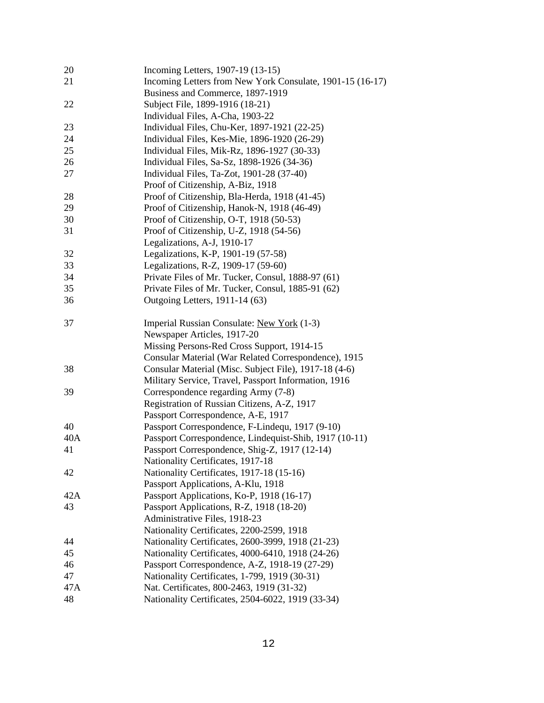| 20        | Incoming Letters, 1907-19 (13-15)                         |
|-----------|-----------------------------------------------------------|
| 21        | Incoming Letters from New York Consulate, 1901-15 (16-17) |
|           | Business and Commerce, 1897-1919                          |
| 22        | Subject File, 1899-1916 (18-21)                           |
|           | Individual Files, A-Cha, 1903-22                          |
| 23        | Individual Files, Chu-Ker, 1897-1921 (22-25)              |
| 24        | Individual Files, Kes-Mie, 1896-1920 (26-29)              |
| 25        | Individual Files, Mik-Rz, 1896-1927 (30-33)               |
| 26        | Individual Files, Sa-Sz, 1898-1926 (34-36)                |
| 27        | Individual Files, Ta-Zot, 1901-28 (37-40)                 |
|           | Proof of Citizenship, A-Biz, 1918                         |
| 28        | Proof of Citizenship, Bla-Herda, 1918 (41-45)             |
| 29        | Proof of Citizenship, Hanok-N, 1918 (46-49)               |
| 30        | Proof of Citizenship, O-T, 1918 (50-53)                   |
| 31        | Proof of Citizenship, U-Z, 1918 (54-56)                   |
|           | Legalizations, A-J, 1910-17                               |
| 32        | Legalizations, K-P, 1901-19 (57-58)                       |
| 33        | Legalizations, R-Z, 1909-17 (59-60)                       |
| 34        | Private Files of Mr. Tucker, Consul, 1888-97 (61)         |
| 35        | Private Files of Mr. Tucker, Consul, 1885-91 (62)         |
| 36        | Outgoing Letters, 1911-14 (63)                            |
| 37        | Imperial Russian Consulate: New York (1-3)                |
|           | Newspaper Articles, 1917-20                               |
|           | Missing Persons-Red Cross Support, 1914-15                |
|           | Consular Material (War Related Correspondence), 1915      |
| 38        | Consular Material (Misc. Subject File), 1917-18 (4-6)     |
|           | Military Service, Travel, Passport Information, 1916      |
| 39        | Correspondence regarding Army (7-8)                       |
|           | Registration of Russian Citizens, A-Z, 1917               |
|           | Passport Correspondence, A-E, 1917                        |
| 40        | Passport Correspondence, F-Lindequ, 1917 (9-10)           |
| 40A       | Passport Correspondence, Lindequist-Shib, 1917 (10-11)    |
| 41        | Passport Correspondence, Shig-Z, 1917 (12-14)             |
|           | Nationality Certificates, 1917-18                         |
| 42        | Nationality Certificates, 1917-18 (15-16)                 |
|           | Passport Applications, A-Klu, 1918                        |
| 42A       | Passport Applications, Ko-P, 1918 (16-17)                 |
| 43        | Passport Applications, R-Z, 1918 (18-20)                  |
|           | Administrative Files, 1918-23                             |
|           | Nationality Certificates, 2200-2599, 1918                 |
| 44        | Nationality Certificates, 2600-3999, 1918 (21-23)         |
| 45<br>46  | Nationality Certificates, 4000-6410, 1918 (24-26)         |
|           | Passport Correspondence, A-Z, 1918-19 (27-29)             |
| 47<br>47A | Nationality Certificates, 1-799, 1919 (30-31)             |
|           | Nat. Certificates, 800-2463, 1919 (31-32)                 |
| 48        | Nationality Certificates, 2504-6022, 1919 (33-34)         |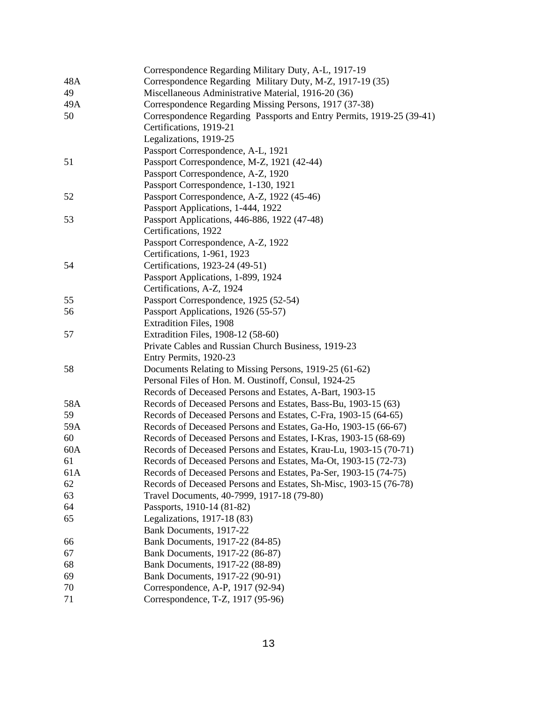|     | Correspondence Regarding Military Duty, A-L, 1917-19                  |
|-----|-----------------------------------------------------------------------|
| 48A | Correspondence Regarding Military Duty, M-Z, 1917-19 (35)             |
| 49  | Miscellaneous Administrative Material, 1916-20 (36)                   |
| 49A | Correspondence Regarding Missing Persons, 1917 (37-38)                |
| 50  | Correspondence Regarding Passports and Entry Permits, 1919-25 (39-41) |
|     | Certifications, 1919-21                                               |
|     | Legalizations, 1919-25                                                |
|     | Passport Correspondence, A-L, 1921                                    |
| 51  | Passport Correspondence, M-Z, 1921 (42-44)                            |
|     | Passport Correspondence, A-Z, 1920                                    |
|     | Passport Correspondence, 1-130, 1921                                  |
| 52  | Passport Correspondence, A-Z, 1922 (45-46)                            |
|     | Passport Applications, 1-444, 1922                                    |
| 53  | Passport Applications, 446-886, 1922 (47-48)                          |
|     | Certifications, 1922                                                  |
|     | Passport Correspondence, A-Z, 1922                                    |
|     | Certifications, 1-961, 1923                                           |
| 54  | Certifications, 1923-24 (49-51)                                       |
|     | Passport Applications, 1-899, 1924                                    |
|     | Certifications, A-Z, 1924                                             |
| 55  | Passport Correspondence, 1925 (52-54)                                 |
| 56  | Passport Applications, 1926 (55-57)                                   |
|     | <b>Extradition Files, 1908</b>                                        |
| 57  | Extradition Files, 1908-12 (58-60)                                    |
|     | Private Cables and Russian Church Business, 1919-23                   |
|     | Entry Permits, 1920-23                                                |
| 58  | Documents Relating to Missing Persons, 1919-25 (61-62)                |
|     | Personal Files of Hon. M. Oustinoff, Consul, 1924-25                  |
|     | Records of Deceased Persons and Estates, A-Bart, 1903-15              |
| 58A | Records of Deceased Persons and Estates, Bass-Bu, 1903-15 (63)        |
| 59  | Records of Deceased Persons and Estates, C-Fra, 1903-15 (64-65)       |
| 59A | Records of Deceased Persons and Estates, Ga-Ho, 1903-15 (66-67)       |
| 60  | Records of Deceased Persons and Estates, I-Kras, 1903-15 (68-69)      |
| 60A | Records of Deceased Persons and Estates, Krau-Lu, 1903-15 (70-71)     |
| 61  | Records of Deceased Persons and Estates, Ma-Ot, 1903-15 (72-73)       |
| 61A | Records of Deceased Persons and Estates, Pa-Ser, 1903-15 (74-75)      |
| 62  | Records of Deceased Persons and Estates, Sh-Misc, 1903-15 (76-78)     |
| 63  | Travel Documents, 40-7999, 1917-18 (79-80)                            |
| 64  | Passports, 1910-14 (81-82)                                            |
| 65  | Legalizations, 1917-18 (83)                                           |
|     | Bank Documents, 1917-22                                               |
| 66  | Bank Documents, 1917-22 (84-85)                                       |
| 67  | Bank Documents, 1917-22 (86-87)                                       |
| 68  | Bank Documents, 1917-22 (88-89)                                       |
| 69  | Bank Documents, 1917-22 (90-91)                                       |
| 70  | Correspondence, A-P, 1917 (92-94)                                     |
| 71  | Correspondence, T-Z, 1917 (95-96)                                     |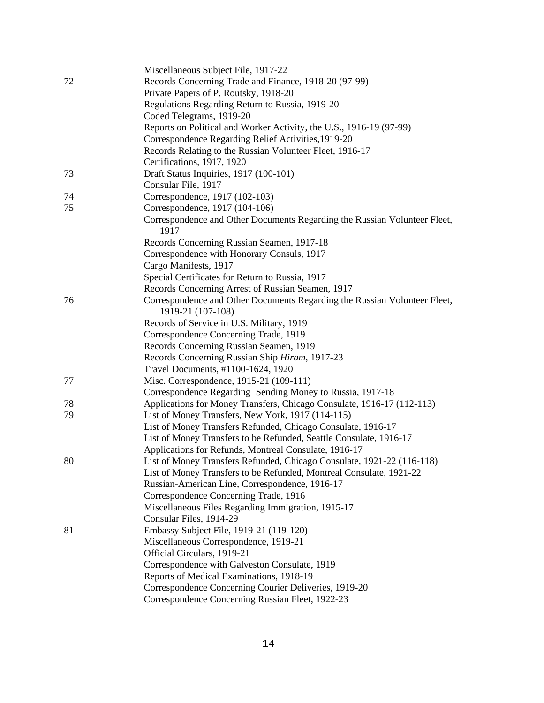|    | Miscellaneous Subject File, 1917-22                                               |
|----|-----------------------------------------------------------------------------------|
| 72 | Records Concerning Trade and Finance, 1918-20 (97-99)                             |
|    | Private Papers of P. Routsky, 1918-20                                             |
|    | Regulations Regarding Return to Russia, 1919-20                                   |
|    | Coded Telegrams, 1919-20                                                          |
|    | Reports on Political and Worker Activity, the U.S., 1916-19 (97-99)               |
|    | Correspondence Regarding Relief Activities, 1919-20                               |
|    | Records Relating to the Russian Volunteer Fleet, 1916-17                          |
|    | Certifications, 1917, 1920                                                        |
| 73 | Draft Status Inquiries, 1917 (100-101)                                            |
|    | Consular File, 1917                                                               |
| 74 | Correspondence, 1917 (102-103)                                                    |
| 75 | Correspondence, 1917 (104-106)                                                    |
|    | Correspondence and Other Documents Regarding the Russian Volunteer Fleet,<br>1917 |
|    | Records Concerning Russian Seamen, 1917-18                                        |
|    | Correspondence with Honorary Consuls, 1917                                        |
|    | Cargo Manifests, 1917                                                             |
|    | Special Certificates for Return to Russia, 1917                                   |
|    | Records Concerning Arrest of Russian Seamen, 1917                                 |
| 76 | Correspondence and Other Documents Regarding the Russian Volunteer Fleet,         |
|    | 1919-21 (107-108)                                                                 |
|    | Records of Service in U.S. Military, 1919                                         |
|    | Correspondence Concerning Trade, 1919                                             |
|    | Records Concerning Russian Seamen, 1919                                           |
|    | Records Concerning Russian Ship Hiram, 1917-23                                    |
|    | Travel Documents, #1100-1624, 1920                                                |
| 77 | Misc. Correspondence, 1915-21 (109-111)                                           |
|    | Correspondence Regarding Sending Money to Russia, 1917-18                         |
| 78 | Applications for Money Transfers, Chicago Consulate, 1916-17 (112-113)            |
| 79 | List of Money Transfers, New York, 1917 (114-115)                                 |
|    | List of Money Transfers Refunded, Chicago Consulate, 1916-17                      |
|    | List of Money Transfers to be Refunded, Seattle Consulate, 1916-17                |
|    | Applications for Refunds, Montreal Consulate, 1916-17                             |
| 80 | List of Money Transfers Refunded, Chicago Consulate, 1921-22 (116-118)            |
|    | List of Money Transfers to be Refunded, Montreal Consulate, 1921-22               |
|    | Russian-American Line, Correspondence, 1916-17                                    |
|    | Correspondence Concerning Trade, 1916                                             |
|    | Miscellaneous Files Regarding Immigration, 1915-17                                |
|    | Consular Files, 1914-29                                                           |
| 81 | Embassy Subject File, 1919-21 (119-120)                                           |
|    | Miscellaneous Correspondence, 1919-21                                             |
|    | Official Circulars, 1919-21                                                       |
|    | Correspondence with Galveston Consulate, 1919                                     |
|    | Reports of Medical Examinations, 1918-19                                          |
|    | Correspondence Concerning Courier Deliveries, 1919-20                             |
|    | Correspondence Concerning Russian Fleet, 1922-23                                  |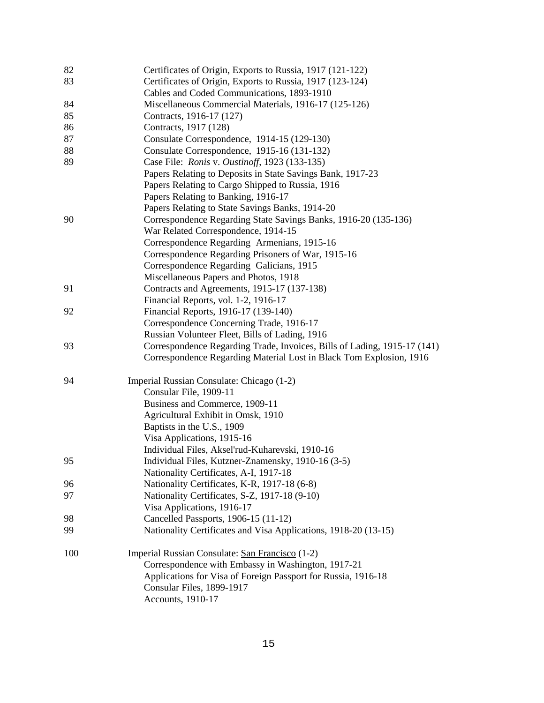| 82  | Certificates of Origin, Exports to Russia, 1917 (121-122)                |
|-----|--------------------------------------------------------------------------|
| 83  | Certificates of Origin, Exports to Russia, 1917 (123-124)                |
|     | Cables and Coded Communications, 1893-1910                               |
| 84  | Miscellaneous Commercial Materials, 1916-17 (125-126)                    |
| 85  | Contracts, 1916-17 (127)                                                 |
| 86  | Contracts, 1917 (128)                                                    |
| 87  | Consulate Correspondence, 1914-15 (129-130)                              |
| 88  | Consulate Correspondence, 1915-16 (131-132)                              |
| 89  | Case File: Ronis v. Oustinoff, 1923 (133-135)                            |
|     | Papers Relating to Deposits in State Savings Bank, 1917-23               |
|     | Papers Relating to Cargo Shipped to Russia, 1916                         |
|     | Papers Relating to Banking, 1916-17                                      |
|     | Papers Relating to State Savings Banks, 1914-20                          |
| 90  | Correspondence Regarding State Savings Banks, 1916-20 (135-136)          |
|     | War Related Correspondence, 1914-15                                      |
|     | Correspondence Regarding Armenians, 1915-16                              |
|     | Correspondence Regarding Prisoners of War, 1915-16                       |
|     | Correspondence Regarding Galicians, 1915                                 |
|     | Miscellaneous Papers and Photos, 1918                                    |
| 91  | Contracts and Agreements, 1915-17 (137-138)                              |
|     | Financial Reports, vol. 1-2, 1916-17                                     |
| 92  | Financial Reports, 1916-17 (139-140)                                     |
|     | Correspondence Concerning Trade, 1916-17                                 |
|     | Russian Volunteer Fleet, Bills of Lading, 1916                           |
| 93  | Correspondence Regarding Trade, Invoices, Bills of Lading, 1915-17 (141) |
|     | Correspondence Regarding Material Lost in Black Tom Explosion, 1916      |
| 94  | Imperial Russian Consulate: Chicago (1-2)                                |
|     | Consular File, 1909-11                                                   |
|     | Business and Commerce, 1909-11                                           |
|     | Agricultural Exhibit in Omsk, 1910                                       |
|     | Baptists in the U.S., 1909                                               |
|     | Visa Applications, 1915-16                                               |
|     | Individual Files, Aksel'rud-Kuharevski, 1910-16                          |
| 95  | Individual Files, Kutzner-Znamensky, 1910-16 (3-5)                       |
|     | Nationality Certificates, A-I, 1917-18                                   |
| 96  | Nationality Certificates, K-R, 1917-18 (6-8)                             |
| 97  | Nationality Certificates, S-Z, 1917-18 (9-10)                            |
|     | Visa Applications, 1916-17                                               |
| 98  | Cancelled Passports, 1906-15 (11-12)                                     |
| 99  | Nationality Certificates and Visa Applications, 1918-20 (13-15)          |
| 100 | Imperial Russian Consulate: San Francisco (1-2)                          |
|     | Correspondence with Embassy in Washington, 1917-21                       |
|     | Applications for Visa of Foreign Passport for Russia, 1916-18            |
|     | Consular Files, 1899-1917                                                |
|     | Accounts, 1910-17                                                        |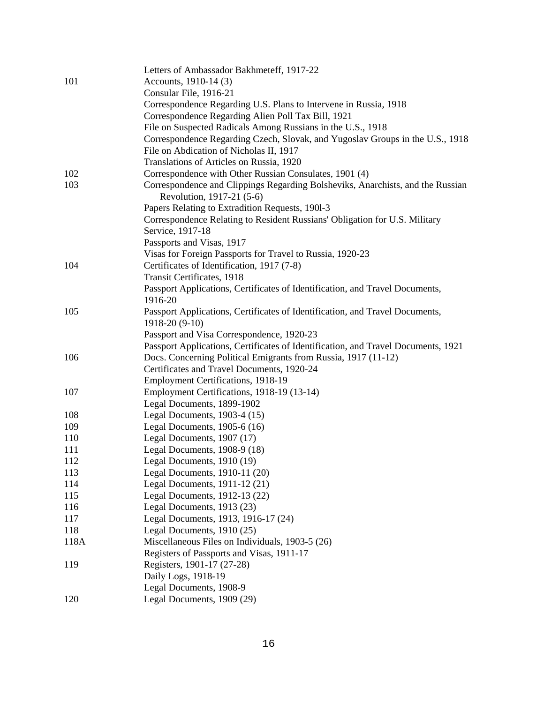|      | Letters of Ambassador Bakhmeteff, 1917-22                                                                   |
|------|-------------------------------------------------------------------------------------------------------------|
| 101  | Accounts, 1910-14 (3)                                                                                       |
|      | Consular File, 1916-21                                                                                      |
|      | Correspondence Regarding U.S. Plans to Intervene in Russia, 1918                                            |
|      | Correspondence Regarding Alien Poll Tax Bill, 1921                                                          |
|      | File on Suspected Radicals Among Russians in the U.S., 1918                                                 |
|      | Correspondence Regarding Czech, Slovak, and Yugoslav Groups in the U.S., 1918                               |
|      | File on Abdication of Nicholas II, 1917                                                                     |
|      | Translations of Articles on Russia, 1920                                                                    |
| 102  | Correspondence with Other Russian Consulates, 1901 (4)                                                      |
| 103  | Correspondence and Clippings Regarding Bolsheviks, Anarchists, and the Russian<br>Revolution, 1917-21 (5-6) |
|      | Papers Relating to Extradition Requests, 1901-3                                                             |
|      | Correspondence Relating to Resident Russians' Obligation for U.S. Military                                  |
|      | Service, 1917-18                                                                                            |
|      | Passports and Visas, 1917                                                                                   |
|      | Visas for Foreign Passports for Travel to Russia, 1920-23                                                   |
| 104  | Certificates of Identification, 1917 (7-8)                                                                  |
|      | Transit Certificates, 1918                                                                                  |
|      | Passport Applications, Certificates of Identification, and Travel Documents,<br>1916-20                     |
| 105  | Passport Applications, Certificates of Identification, and Travel Documents,<br>1918-20 (9-10)              |
|      | Passport and Visa Correspondence, 1920-23                                                                   |
|      | Passport Applications, Certificates of Identification, and Travel Documents, 1921                           |
| 106  | Docs. Concerning Political Emigrants from Russia, 1917 (11-12)                                              |
|      | Certificates and Travel Documents, 1920-24                                                                  |
|      | <b>Employment Certifications, 1918-19</b>                                                                   |
| 107  | Employment Certifications, 1918-19 (13-14)                                                                  |
|      | Legal Documents, 1899-1902                                                                                  |
| 108  | Legal Documents, $1903-4(15)$                                                                               |
| 109  | Legal Documents, $1905-6(16)$                                                                               |
| 110  | Legal Documents, 1907 (17)                                                                                  |
| 111  | Legal Documents, 1908-9 (18)                                                                                |
| 112  | Legal Documents, 1910 (19)                                                                                  |
| 113  | Legal Documents, 1910-11 (20)                                                                               |
| 114  | Legal Documents, 1911-12 (21)                                                                               |
| 115  | Legal Documents, 1912-13 (22)                                                                               |
| 116  | Legal Documents, 1913 (23)                                                                                  |
| 117  | Legal Documents, 1913, 1916-17 (24)                                                                         |
| 118  | Legal Documents, 1910 (25)                                                                                  |
| 118A | Miscellaneous Files on Individuals, 1903-5 (26)                                                             |
|      | Registers of Passports and Visas, 1911-17                                                                   |
| 119  | Registers, 1901-17 (27-28)                                                                                  |
|      | Daily Logs, 1918-19                                                                                         |
|      | Legal Documents, 1908-9                                                                                     |
| 120  | Legal Documents, 1909 (29)                                                                                  |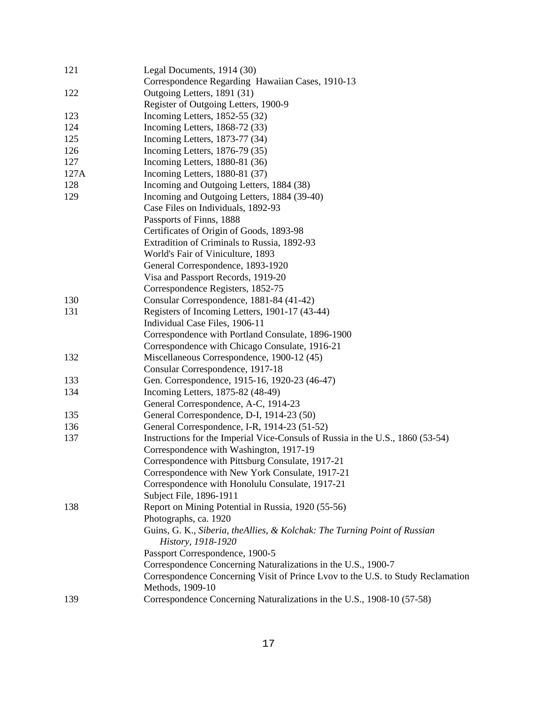| 121  | Legal Documents, 1914 (30)                                                      |
|------|---------------------------------------------------------------------------------|
|      | Correspondence Regarding Hawaiian Cases, 1910-13                                |
| 122  | Outgoing Letters, 1891 (31)                                                     |
|      | Register of Outgoing Letters, 1900-9                                            |
| 123  | Incoming Letters, 1852-55 (32)                                                  |
| 124  | Incoming Letters, 1868-72 (33)                                                  |
| 125  | Incoming Letters, 1873-77 (34)                                                  |
| 126  | Incoming Letters, 1876-79 (35)                                                  |
| 127  | Incoming Letters, 1880-81 (36)                                                  |
| 127A | Incoming Letters, 1880-81 (37)                                                  |
| 128  | Incoming and Outgoing Letters, 1884 (38)                                        |
| 129  | Incoming and Outgoing Letters, 1884 (39-40)                                     |
|      | Case Files on Individuals, 1892-93                                              |
|      | Passports of Finns, 1888                                                        |
|      | Certificates of Origin of Goods, 1893-98                                        |
|      | Extradition of Criminals to Russia, 1892-93                                     |
|      | World's Fair of Viniculture, 1893                                               |
|      | General Correspondence, 1893-1920                                               |
|      | Visa and Passport Records, 1919-20                                              |
|      | Correspondence Registers, 1852-75                                               |
| 130  | Consular Correspondence, 1881-84 (41-42)                                        |
| 131  | Registers of Incoming Letters, 1901-17 (43-44)                                  |
|      | Individual Case Files, 1906-11                                                  |
|      | Correspondence with Portland Consulate, 1896-1900                               |
|      | Correspondence with Chicago Consulate, 1916-21                                  |
| 132  | Miscellaneous Correspondence, 1900-12 (45)                                      |
|      | Consular Correspondence, 1917-18                                                |
| 133  | Gen. Correspondence, 1915-16, 1920-23 (46-47)                                   |
| 134  | Incoming Letters, 1875-82 (48-49)                                               |
|      | General Correspondence, A-C, 1914-23                                            |
| 135  | General Correspondence, D-I, 1914-23 (50)                                       |
| 136  | General Correspondence, I-R, 1914-23 (51-52)                                    |
| 137  | Instructions for the Imperial Vice-Consuls of Russia in the U.S., 1860 (53-54)  |
|      | Correspondence with Washington, 1917-19                                         |
|      | Correspondence with Pittsburg Consulate, 1917-21                                |
|      | Correspondence with New York Consulate, 1917-21                                 |
|      | Correspondence with Honolulu Consulate, 1917-21                                 |
|      | Subject File, 1896-1911                                                         |
| 138  | Report on Mining Potential in Russia, 1920 (55-56)                              |
|      | Photographs, ca. 1920                                                           |
|      | Guins, G. K., Siberia, theAllies, & Kolchak: The Turning Point of Russian       |
|      | History, 1918-1920                                                              |
|      | Passport Correspondence, 1900-5                                                 |
|      | Correspondence Concerning Naturalizations in the U.S., 1900-7                   |
|      | Correspondence Concerning Visit of Prince Lvov to the U.S. to Study Reclamation |
|      | Methods, 1909-10                                                                |
| 139  | Correspondence Concerning Naturalizations in the U.S., 1908-10 (57-58)          |
|      |                                                                                 |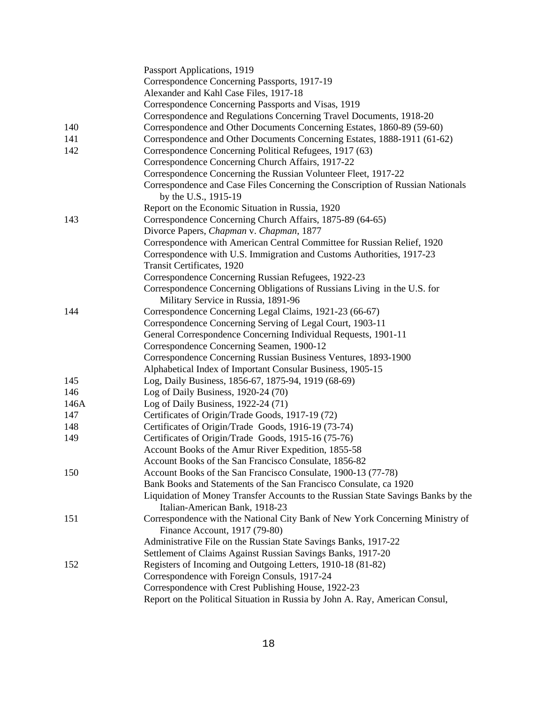|      | Passport Applications, 1919                                                                                        |
|------|--------------------------------------------------------------------------------------------------------------------|
|      | Correspondence Concerning Passports, 1917-19                                                                       |
|      | Alexander and Kahl Case Files, 1917-18                                                                             |
|      | Correspondence Concerning Passports and Visas, 1919                                                                |
|      | Correspondence and Regulations Concerning Travel Documents, 1918-20                                                |
| 140  | Correspondence and Other Documents Concerning Estates, 1860-89 (59-60)                                             |
| 141  | Correspondence and Other Documents Concerning Estates, 1888-1911 (61-62)                                           |
| 142  | Correspondence Concerning Political Refugees, 1917 (63)                                                            |
|      | Correspondence Concerning Church Affairs, 1917-22                                                                  |
|      | Correspondence Concerning the Russian Volunteer Fleet, 1917-22                                                     |
|      | Correspondence and Case Files Concerning the Conscription of Russian Nationals                                     |
|      | by the U.S., 1915-19                                                                                               |
|      | Report on the Economic Situation in Russia, 1920                                                                   |
| 143  | Correspondence Concerning Church Affairs, 1875-89 (64-65)                                                          |
|      | Divorce Papers, Chapman v. Chapman, 1877                                                                           |
|      | Correspondence with American Central Committee for Russian Relief, 1920                                            |
|      | Correspondence with U.S. Immigration and Customs Authorities, 1917-23                                              |
|      | Transit Certificates, 1920                                                                                         |
|      | Correspondence Concerning Russian Refugees, 1922-23                                                                |
|      | Correspondence Concerning Obligations of Russians Living in the U.S. for                                           |
|      | Military Service in Russia, 1891-96                                                                                |
| 144  | Correspondence Concerning Legal Claims, 1921-23 (66-67)                                                            |
|      | Correspondence Concerning Serving of Legal Court, 1903-11                                                          |
|      | General Correspondence Concerning Individual Requests, 1901-11                                                     |
|      | Correspondence Concerning Seamen, 1900-12                                                                          |
|      | Correspondence Concerning Russian Business Ventures, 1893-1900                                                     |
|      | Alphabetical Index of Important Consular Business, 1905-15                                                         |
| 145  | Log, Daily Business, 1856-67, 1875-94, 1919 (68-69)                                                                |
| 146  | Log of Daily Business, $1920-24(70)$                                                                               |
| 146A | Log of Daily Business, 1922-24 (71)                                                                                |
| 147  | Certificates of Origin/Trade Goods, 1917-19 (72)                                                                   |
| 148  | Certificates of Origin/Trade Goods, 1916-19 (73-74)                                                                |
| 149  | Certificates of Origin/Trade Goods, 1915-16 (75-76)                                                                |
|      | Account Books of the Amur River Expedition, 1855-58                                                                |
|      | Account Books of the San Francisco Consulate, 1856-82                                                              |
| 150  | Account Books of the San Francisco Consulate, 1900-13 (77-78)                                                      |
|      | Bank Books and Statements of the San Francisco Consulate, ca 1920                                                  |
|      | Liquidation of Money Transfer Accounts to the Russian State Savings Banks by the<br>Italian-American Bank, 1918-23 |
|      |                                                                                                                    |
| 151  | Correspondence with the National City Bank of New York Concerning Ministry of<br>Finance Account, 1917 (79-80)     |
|      | Administrative File on the Russian State Savings Banks, 1917-22                                                    |
|      | Settlement of Claims Against Russian Savings Banks, 1917-20                                                        |
| 152  | Registers of Incoming and Outgoing Letters, 1910-18 (81-82)                                                        |
|      | Correspondence with Foreign Consuls, 1917-24                                                                       |
|      | Correspondence with Crest Publishing House, 1922-23                                                                |
|      | Report on the Political Situation in Russia by John A. Ray, American Consul,                                       |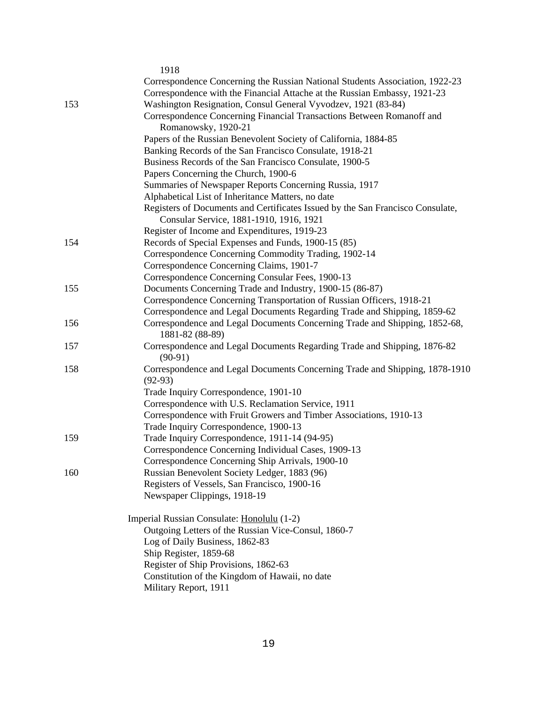|     | 1918                                                                                          |
|-----|-----------------------------------------------------------------------------------------------|
|     | Correspondence Concerning the Russian National Students Association, 1922-23                  |
|     | Correspondence with the Financial Attache at the Russian Embassy, 1921-23                     |
| 153 | Washington Resignation, Consul General Vyvodzev, 1921 (83-84)                                 |
|     | Correspondence Concerning Financial Transactions Between Romanoff and                         |
|     | Romanowsky, 1920-21                                                                           |
|     | Papers of the Russian Benevolent Society of California, 1884-85                               |
|     | Banking Records of the San Francisco Consulate, 1918-21                                       |
|     | Business Records of the San Francisco Consulate, 1900-5                                       |
|     | Papers Concerning the Church, 1900-6                                                          |
|     | Summaries of Newspaper Reports Concerning Russia, 1917                                        |
|     | Alphabetical List of Inheritance Matters, no date                                             |
|     | Registers of Documents and Certificates Issued by the San Francisco Consulate,                |
|     | Consular Service, 1881-1910, 1916, 1921                                                       |
|     | Register of Income and Expenditures, 1919-23                                                  |
| 154 | Records of Special Expenses and Funds, 1900-15 (85)                                           |
|     | Correspondence Concerning Commodity Trading, 1902-14                                          |
|     | Correspondence Concerning Claims, 1901-7                                                      |
|     | Correspondence Concerning Consular Fees, 1900-13                                              |
| 155 | Documents Concerning Trade and Industry, 1900-15 (86-87)                                      |
|     | Correspondence Concerning Transportation of Russian Officers, 1918-21                         |
|     | Correspondence and Legal Documents Regarding Trade and Shipping, 1859-62                      |
| 156 | Correspondence and Legal Documents Concerning Trade and Shipping, 1852-68,<br>1881-82 (88-89) |
| 157 | Correspondence and Legal Documents Regarding Trade and Shipping, 1876-82<br>$(90-91)$         |
| 158 | Correspondence and Legal Documents Concerning Trade and Shipping, 1878-1910<br>$(92-93)$      |
|     | Trade Inquiry Correspondence, 1901-10                                                         |
|     | Correspondence with U.S. Reclamation Service, 1911                                            |
|     | Correspondence with Fruit Growers and Timber Associations, 1910-13                            |
|     | Trade Inquiry Correspondence, 1900-13                                                         |
| 159 | Trade Inquiry Correspondence, 1911-14 (94-95)                                                 |
|     | Correspondence Concerning Individual Cases, 1909-13                                           |
|     | Correspondence Concerning Ship Arrivals, 1900-10                                              |
| 160 | Russian Benevolent Society Ledger, 1883 (96)                                                  |
|     | Registers of Vessels, San Francisco, 1900-16                                                  |
|     | Newspaper Clippings, 1918-19                                                                  |
|     | Imperial Russian Consulate: Honolulu (1-2)                                                    |
|     | Outgoing Letters of the Russian Vice-Consul, 1860-7                                           |
|     | Log of Daily Business, 1862-83                                                                |
|     | Ship Register, 1859-68                                                                        |
|     | Register of Ship Provisions, 1862-63                                                          |
|     | Constitution of the Kingdom of Hawaii, no date                                                |
|     | Military Report, 1911                                                                         |